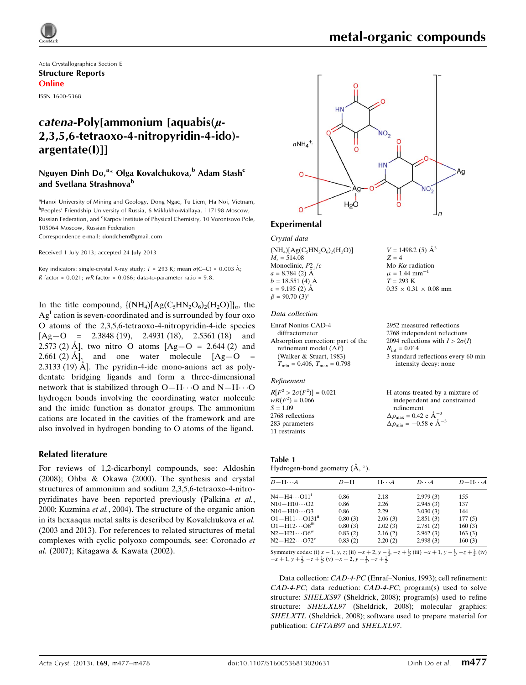

2952 measured reflections 2768 independent reflections 2094 reflections with  $I > 2\sigma(I)$ 

3 standard reflections every 60 min intensity decay: none

independent and constrained

 $R_{\text{int}} = 0.014$ 

refinement

Acta Crystallographica Section E Structure Reports Online

ISSN 1600-5368

# $catena-Poly[ammonium] aquadis(\mu-$ 2,3,5,6-tetraoxo-4-nitropyridin-4-ido) argentate(I)]]

## Nguyen Dinh Do,<sup>a</sup>\* Olga Kovalchukova,<sup>b</sup> Adam Stash<sup>c</sup> and Svetlana Strashnova<sup>b</sup>

<sup>a</sup> Hanoi University of Mining and Geology, Dong Ngac, Tu Liem, Ha Noi, Vietnam, b Peoples' Friendship University of Russia, 6 Miklukho-Mallaya, 117198 Moscow, Russian Federation, and <sup>c</sup>Karpov Institute of Physical Chemistry, 10 Vorontsovo Pole, 105064 Moscow, Russian Federation

Correspondence e-mail: [dondchem@gmail.com](https://scripts.iucr.org/cgi-bin/cr.cgi?rm=pdfbb&cnor=pj2004&bbid=BB11)

Received 1 July 2013; accepted 24 July 2013

Key indicators: single-crystal X-ray study;  $T = 293$  K; mean  $\sigma$ (C–C) = 0.003 Å; R factor =  $0.021$ ; wR factor =  $0.066$ ; data-to-parameter ratio =  $9.8$ .

In the title compound,  $\{(\text{NH}_4)[\text{Ag}(C_5\text{HN}_2\text{O}_6)_2(\text{H}_2\text{O})]\}_n$ , the  $Ag<sup>I</sup>$  cation is seven-coordinated and is surrounded by four oxo O atoms of the 2,3,5,6-tetraoxo-4-nitropyridin-4-ide species  $[Ag-O = 2.3848(19), 2.4931(18), 2.5361(18)$  and 2.573 (2) Å], two nitro O atoms  $[Ag-O = 2.644 (2)$  and 2.661 (2)  $\AA$ , and one water molecule  $[Ag-O]$ 2.3133 (19) Å]. The pyridin-4-ide mono-anions act as polydentate bridging ligands and form a three-dimensional network that is stabilized through  $O-H\cdots O$  and  $N-H\cdots O$ hydrogen bonds involving the coordinating water molecule and the imide function as donator groups. The ammonium cations are located in the cavities of the framework and are also involved in hydrogen bonding to O atoms of the ligand.

#### Related literature

For reviews of 1,2-dicarbonyl compounds, see: Aldoshin (2008); Ohba & Okawa (2000). The synthesis and crystal structures of ammonium and sodium 2,3,5,6-tetraoxo-4-nitropyridinates have been reported previously (Palkina et al., 2000; Kuzmina et al., 2004). The structure of the organic anion in its hexaaqua metal salts is described by Kovalchukova et al. (2003 and 2013). For references to related structures of metal complexes with cyclic polyoxo compounds, see: Coronado et al. (2007); Kitagawa & Kawata (2002).



#### Experimental

Crystal data

 $(NH_4)[Ag(C_5HN_2O_6)_2(H_2O)]$  $M_r = 514.08$ Monoclinic,  $P2<sub>1</sub>/c$  $a = 8.784$  (2) Å  $b = 18.551(4)$  Å  $c = 9.195$  (2)  $\AA$  $\beta = 90.70$  (3)<sup>o</sup>  $V = 1498.2$  (5)  $\AA^3$  $Z = 4$ Mo  $K\alpha$  radiation  $\mu$  = 1.44 mm<sup>-1</sup>  $T = 293 \text{ K}$  $0.35 \times 0.31 \times 0.08$  mm

#### Data collection

```
Enraf Nonius CAD-4
  diffractometer
Absorption correction: part of the
  refinement model (\Delta F)(Walker & Stuart, 1983)
  T_{\min} = 0.406, T_{\max} = 0.798
```
#### Refinement

Table 1

 $R[F^2 > 2\sigma(F^2)] = 0.021$  $wR(F^2) = 0.066$  $S = 1.09$ 2768 reflections 283 parameters 11 restraints H atoms treated by a mixture of  $\Delta \rho_{\text{max}} = 0.42 \text{ e } \text{\AA}_{\text{s}}^{-3}$  $\Delta \rho_{\text{min}} = -0.58 \text{ e A}^{-3}$ 

| таріе і                                 |  |  |
|-----------------------------------------|--|--|
| Hydrogen-bond geometry $(A, \degree)$ . |  |  |

| $D - H \cdots A$                     | $D-H$   | $H \cdot \cdot \cdot A$ | $D\cdots A$ | $D - H \cdots A$ |
|--------------------------------------|---------|-------------------------|-------------|------------------|
| $N4 - H4 \cdots 011$ <sup>1</sup>    | 0.86    | 2.18                    | 2.979(3)    | 155              |
| $N10 - H10 \cdots O2$                | 0.86    | 2.26                    | 2.945(3)    | 137              |
| $N10 - H10 \cdots O3$                | 0.86    | 2.29                    | 3.030(3)    | 144              |
| $O1 - H11 \cdots O131$ <sup>ii</sup> | 0.80(3) | 2.06(3)                 | 2.851(3)    | 177(5)           |
| $O1 - H12 \cdots O8m$                | 0.80(3) | 2.02(3)                 | 2.781(2)    | 160(3)           |
| $N2-H21\cdots$ O6 <sup>1V</sup>      | 0.83(2) | 2.16(2)                 | 2.962(3)    | 163(3)           |
| $N2 - H22 \cdots O72^V$              | 0.83(2) | 2.20(2)                 | 2.998(3)    | 160(3)           |

Symmetry codes: (i)  $x - 1$ ,  $y$ ,  $z$ ; (ii)  $-x + 2$ ,  $y - \frac{1}{2}$ ,  $-z + \frac{1}{2}$ ; (iii)  $-x + 1$ ,  $y - \frac{1}{2}$ ,  $-z + \frac{1}{2}$ ; (iv)  $-x + 1$ ,  $y + \frac{1}{2}$ ,  $-z + \frac{1}{2}$ ; (v)  $-x + 2$ ,  $y + \frac{1}{2}$ ,  $-z + \frac{1}{2}$ .

Data collection: CAD-4-PC (Enraf–Nonius, 1993); cell refinement: CAD-4-PC; data reduction: CAD-4-PC; program(s) used to solve structure: SHELXS97 (Sheldrick, 2008); program(s) used to refine structure: SHELXL97 (Sheldrick, 2008); molecular graphics: SHELXTL (Sheldrick, 2008); software used to prepare material for publication: CIFTAB97 and SHELXL97.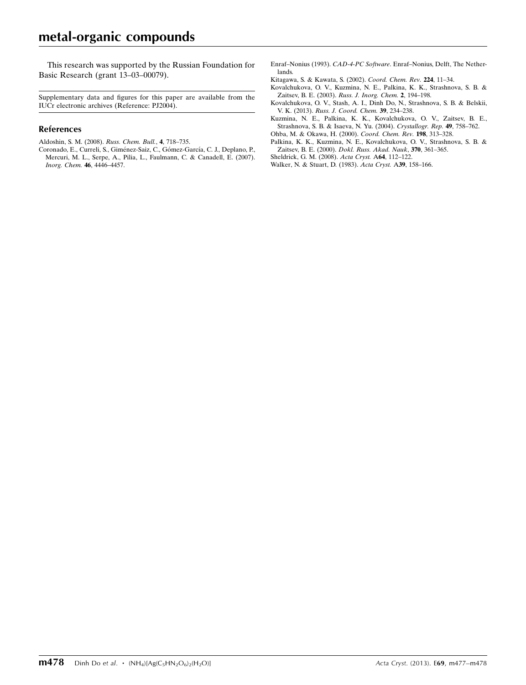This research was supported by the Russian Foundation for Basic Research (grant 13–03–00079).

Supplementary data and figures for this paper are available from the IUCr electronic archives (Reference: PJ2004).

#### References

- [Aldoshin, S. M. \(2008\).](https://scripts.iucr.org/cgi-bin/cr.cgi?rm=pdfbb&cnor=pj2004&bbid=BB1) Russ. Chem. Bull., 4, 718–735.
- Coronado, E., Curreli, S., Giménez-Saiz, C., Gómez-García, C. J., Deplano, P., [Mercuri, M. L., Serpe, A., Pilia, L., Faulmann, C. & Canadell, E. \(2007\).](https://scripts.iucr.org/cgi-bin/cr.cgi?rm=pdfbb&cnor=pj2004&bbid=BB2) [Inorg. Chem.](https://scripts.iucr.org/cgi-bin/cr.cgi?rm=pdfbb&cnor=pj2004&bbid=BB2) 46, 4446–4457.
- Enraf–Nonius (1993). CAD-4-PC Software[. Enraf–Nonius, Delft, The Nether](https://scripts.iucr.org/cgi-bin/cr.cgi?rm=pdfbb&cnor=pj2004&bbid=BB3)[lands.](https://scripts.iucr.org/cgi-bin/cr.cgi?rm=pdfbb&cnor=pj2004&bbid=BB3)
- [Kitagawa, S. & Kawata, S. \(2002\).](https://scripts.iucr.org/cgi-bin/cr.cgi?rm=pdfbb&cnor=pj2004&bbid=BB4) Coord. Chem. Rev. 224, 11–34.
- [Kovalchukova, O. V., Kuzmina, N. E., Palkina, K. K., Strashnova, S. B. &](https://scripts.iucr.org/cgi-bin/cr.cgi?rm=pdfbb&cnor=pj2004&bbid=BB5) Zaitsev, B. E. (2003). [Russ. J. Inorg. Chem.](https://scripts.iucr.org/cgi-bin/cr.cgi?rm=pdfbb&cnor=pj2004&bbid=BB5) 2, 194–198.
- [Kovalchukova, O. V., Stash, A. I., Dinh Do, N., Strashnova, S. B. & Belskii,](https://scripts.iucr.org/cgi-bin/cr.cgi?rm=pdfbb&cnor=pj2004&bbid=BB6) V. K. (2013). [Russ. J. Coord. Chem.](https://scripts.iucr.org/cgi-bin/cr.cgi?rm=pdfbb&cnor=pj2004&bbid=BB6) 39, 234–238.
- [Kuzmina, N. E., Palkina, K. K., Kovalchukova, O. V., Zaitsev, B. E.,](https://scripts.iucr.org/cgi-bin/cr.cgi?rm=pdfbb&cnor=pj2004&bbid=BB7) [Strashnova, S. B. & Isaeva, N. Yu. \(2004\).](https://scripts.iucr.org/cgi-bin/cr.cgi?rm=pdfbb&cnor=pj2004&bbid=BB7) Crystallogr. Rep. 49, 758–762.
- [Ohba, M. & Okawa, H. \(2000\).](https://scripts.iucr.org/cgi-bin/cr.cgi?rm=pdfbb&cnor=pj2004&bbid=BB8) Coord. Chem. Rev. 198, 313–328.
- [Palkina, K. K., Kuzmina, N. E., Kovalchukova, O. V., Strashnova, S. B. &](https://scripts.iucr.org/cgi-bin/cr.cgi?rm=pdfbb&cnor=pj2004&bbid=BB9) Zaitsev, B. E. (2000). [Dokl. Russ. Akad. Nauk](https://scripts.iucr.org/cgi-bin/cr.cgi?rm=pdfbb&cnor=pj2004&bbid=BB9), 370, 361–365.
- [Sheldrick, G. M. \(2008\).](https://scripts.iucr.org/cgi-bin/cr.cgi?rm=pdfbb&cnor=pj2004&bbid=BB10) Acta Cryst. A64, 112–122.
- [Walker, N. & Stuart, D. \(1983\).](https://scripts.iucr.org/cgi-bin/cr.cgi?rm=pdfbb&cnor=pj2004&bbid=BB11) Acta Cryst. A39, 158–166.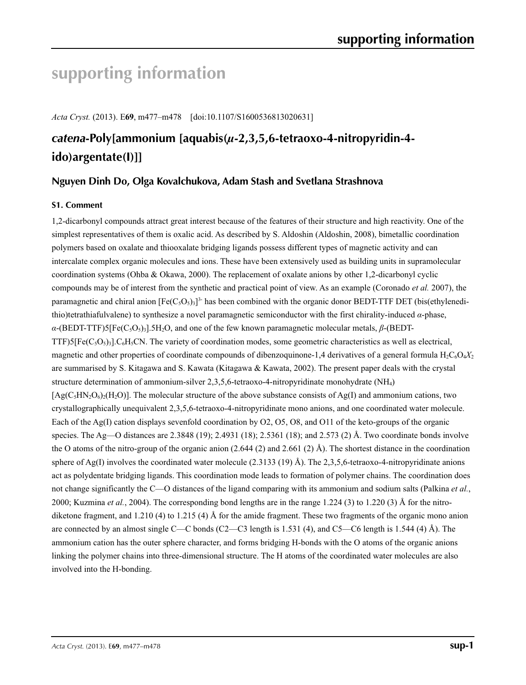# **supporting information**

*Acta Cryst.* (2013). E**69**, m477–m478 [doi:10.1107/S1600536813020631]

# *catena***-Poly[ammonium [aquabis(***µ***-2,3,5,6-tetraoxo-4-nitropyridin-4 ido)argentate(I)]]**

## **Nguyen Dinh Do, Olga Kovalchukova, Adam Stash and Svetlana Strashnova**

#### **S1. Comment**

1,2-dicarbonyl compounds attract great interest because of the features of their structure and high reactivity. One of the simplest representatives of them is oxalic acid. As described by S. Aldoshin (Aldoshin, 2008), bimetallic coordination polymers based on oxalate and thiooxalate bridging ligands possess different types of magnetic activity and can intercalate complex organic molecules and ions. These have been extensively used as building units in supramolecular coordination systems (Ohba & Okawa, 2000). The replacement of oxalate anions by other 1,2-dicarbonyl cyclic compounds may be of interest from the synthetic and practical point of view. As an example (Coronado *et al.* 2007), the paramagnetic and chiral anion  $[Fe(C_5O_5)_3]^3$  has been combined with the organic donor BEDT-TTF DET (bis(ethylenedithio)tetrathiafulvalene) to synthesize a novel paramagnetic semiconductor with the first chirality-induced *α*-phase, *α*-(BEDT-TTF)5[Fe(C5O5)3].5H2O, and one of the few known paramagnetic molecular metals, *β*-(BEDT-TTF)5[Fe( $C_5O_5$ )<sub>3</sub>]. $C_6H_5CN$ . The variety of coordination modes, some geometric characteristics as well as electrical, magnetic and other properties of coordinate compounds of dibenzoquinone-1,4 derivatives of a general formula  $H_2C_6O_4X_2$ are summarised by S. Kitagawa and S. Kawata (Kitagawa & Kawata, 2002). The present paper deals with the crystal structure determination of ammonium-silver 2,3,5,6-tetraoxo-4-nitropyridinate monohydrate (NH4)  $[Ag(C,HN, O_6)_{\ell}(H_2O)]$ . The molecular structure of the above substance consists of Ag(I) and ammonium cations, two crystallographically unequivalent 2,3,5,6-tetraoxo-4-nitropyridinate mono anions, and one coordinated water molecule. Each of the Ag(I) cation displays sevenfold coordination by O2, O5, O8, and O11 of the keto-groups of the organic species. The Ag—O distances are 2.3848 (19); 2.4931 (18); 2.5361 (18); and 2.573 (2) Å. Two coordinate bonds involve the O atoms of the nitro-group of the organic anion  $(2.644 (2)$  and  $2.661 (2)$  Å). The shortest distance in the coordination sphere of Ag(I) involves the coordinated water molecule (2.3133 (19) Å). The 2,3,5,6-tetraoxo-4-nitropyridinate anions act as polydentate bridging ligands. This coordination mode leads to formation of polymer chains. The coordination does not change significantly the C—O distances of the ligand comparing with its ammonium and sodium salts (Palkina *et al.*, 2000; Kuzmina *et al.*, 2004). The corresponding bond lengths are in the range 1.224 (3) to 1.220 (3) Å for the nitrodiketone fragment, and 1.210 (4) to 1.215 (4) Å for the amide fragment. These two fragments of the organic mono anion are connected by an almost single C—C bonds (C2—C3 length is 1.531 (4), and C5—C6 length is 1.544 (4) Å). The ammonium cation has the outer sphere character, and forms bridging H-bonds with the O atoms of the organic anions linking the polymer chains into three-dimensional structure. The H atoms of the coordinated water molecules are also involved into the H-bonding.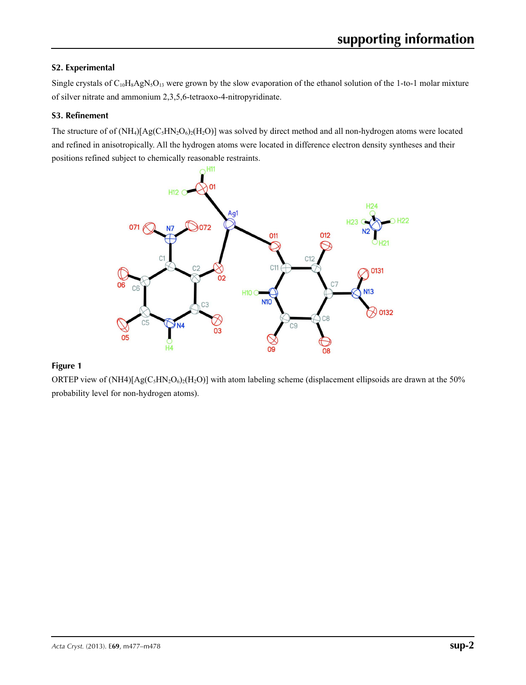## **S2. Experimental**

Single crystals of  $C_{10}H_8AgN_5O_{13}$  were grown by the slow evaporation of the ethanol solution of the 1-to-1 molar mixture of silver nitrate and ammonium 2,3,5,6-tetraoxo-4-nitropyridinate.

#### **S3. Refinement**

The structure of of  $(NH_4)[Ag(C_5HN_2O_6)_2(H_2O)]$  was solved by direct method and all non-hydrogen atoms were located and refined in anisotropically. All the hydrogen atoms were located in difference electron density syntheses and their positions refined subject to chemically reasonable restraints.



## **Figure 1**

ORTEP view of  $(NH4)[Ag(C_5HN_2O_6)_2(H_2O)]$  with atom labeling scheme (displacement ellipsoids are drawn at the 50% probability level for non-hydrogen atoms).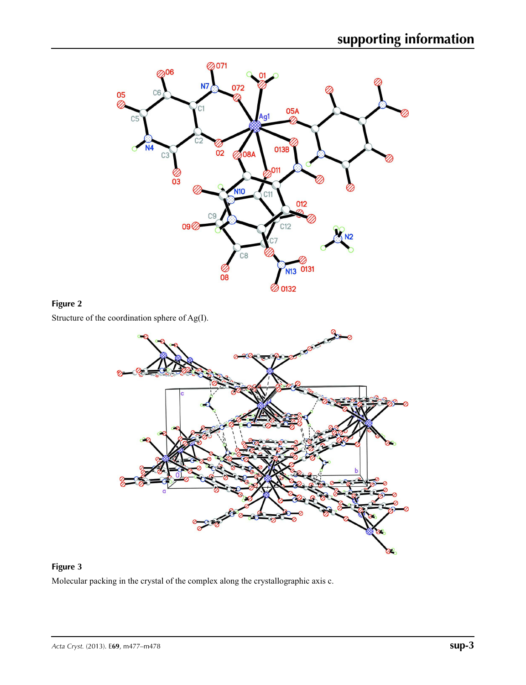

# **Figure 2**

Structure of the coordination sphere of Ag(I).



# **Figure 3**

Molecular packing in the crystal of the complex along the crystallographic axis c.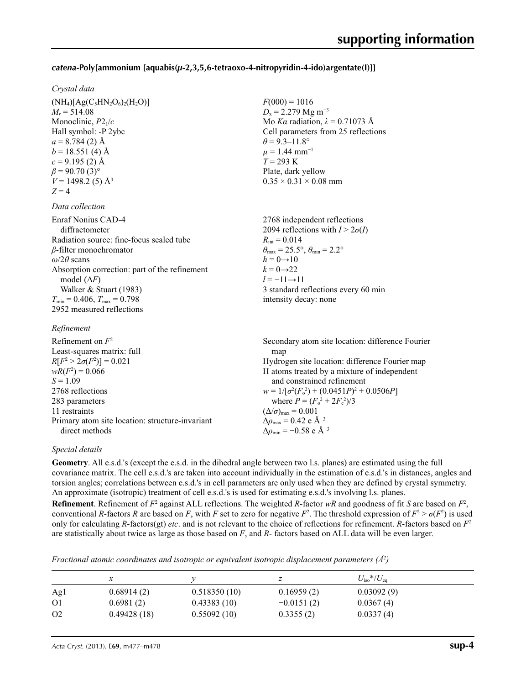#### *catena***-Poly[ammonium [aquabis(***µ***-2,3,5,6-tetraoxo-4-nitropyridin-4-ido)argentate(I)]]**

 $F(000) = 1016$  $D_x = 2.279$  Mg m<sup>-3</sup>

 $\theta$  = 9.3–11.8°  $\mu = 1.44$  mm<sup>-1</sup> *T* = 293 K Plate, dark yellow  $0.35 \times 0.31 \times 0.08$  mm

 $R_{\text{int}} = 0.014$ 

 $h = 0 \rightarrow 10$  $k = 0 \rightarrow 22$  $l = -11 \rightarrow 11$ 

Mo *Kα* radiation, *λ* = 0.71073 Å Cell parameters from 25 reflections

2768 independent reflections 2094 reflections with  $I > 2\sigma(I)$ 

3 standard reflections every 60 min

 $\theta_{\text{max}} = 25.5^{\circ}, \theta_{\text{min}} = 2.2^{\circ}$ 

intensity decay: none

#### *Crystal data*

 $(NH_4)[Ag(C_5HN_2O_6)_2(H_2O)]$  $M_r = 514.08$ Monoclinic, *P*21/*c* Hall symbol: -P 2ybc  $a = 8.784(2)$  Å  $b = 18.551(4)$  Å  $c = 9.195$  (2) Å  $\beta$  = 90.70 (3)<sup>o</sup>  $V = 1498.2$  (5)  $\AA$ <sup>3</sup>  $Z = 4$ 

#### *Data collection*

Enraf Nonius CAD-4 diffractometer Radiation source: fine-focus sealed tube *β*-filter monochromator *ω*/2*θ* scans Absorption correction: part of the refinement model  $(\Delta F)$ Walker & Stuart (1983)  $T_{\text{min}} = 0.406, T_{\text{max}} = 0.798$ 2952 measured reflections

#### *Refinement*

Refinement on *F*<sup>2</sup> Least-squares matrix: full  $R[F^2 > 2\sigma(F^2)] = 0.021$  $wR(F^2) = 0.066$  $S = 1.09$ 2768 reflections 283 parameters 11 restraints Primary atom site location: structure-invariant direct methods Secondary atom site location: difference Fourier map Hydrogen site location: difference Fourier map H atoms treated by a mixture of independent and constrained refinement  $w = 1/[\sigma^2 (F_o^2) + (0.0451P)^2 + 0.0506P]$ where  $P = (F_o^2 + 2F_c^2)/3$  $(\Delta/\sigma)_{\text{max}} = 0.001$  $Δρ_{max} = 0.42$  e Å<sup>-3</sup>  $\Delta\rho_{\text{min}} = -0.58$  e Å<sup>-3</sup>

#### *Special details*

**Geometry**. All e.s.d.'s (except the e.s.d. in the dihedral angle between two l.s. planes) are estimated using the full covariance matrix. The cell e.s.d.'s are taken into account individually in the estimation of e.s.d.'s in distances, angles and torsion angles; correlations between e.s.d.'s in cell parameters are only used when they are defined by crystal symmetry. An approximate (isotropic) treatment of cell e.s.d.'s is used for estimating e.s.d.'s involving l.s. planes.

**Refinement**. Refinement of  $F^2$  against ALL reflections. The weighted *R*-factor  $wR$  and goodness of fit *S* are based on  $F^2$ , conventional *R*-factors *R* are based on *F*, with *F* set to zero for negative  $F^2$ . The threshold expression of  $F^2 > \sigma(F^2)$  is used only for calculating *R*-factors(gt) *etc*. and is not relevant to the choice of reflections for refinement. *R*-factors based on *F*<sup>2</sup> are statistically about twice as large as those based on *F*, and *R*- factors based on ALL data will be even larger.

*Fractional atomic coordinates and isotropic or equivalent isotropic displacement parameters (Å<sup>2</sup>)* 

|                |             |              |              | $U_{\rm iso}*/U_{\rm eq}$ |  |
|----------------|-------------|--------------|--------------|---------------------------|--|
| Ag1            | 0.68914(2)  | 0.518350(10) | 0.16959(2)   | 0.03092(9)                |  |
| O <sub>1</sub> | 0.6981(2)   | 0.43383(10)  | $-0.0151(2)$ | 0.0367(4)                 |  |
| O <sub>2</sub> | 0.49428(18) | 0.55092(10)  | 0.3355(2)    | 0.0337(4)                 |  |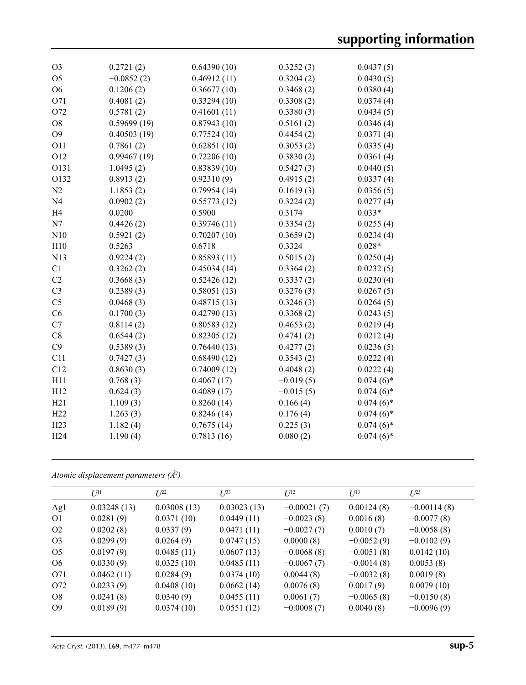| O <sub>3</sub>  | 0.2721(2)    | 0.64390(10) | 0.3252(3)   | 0.0437(5)    |
|-----------------|--------------|-------------|-------------|--------------|
| O <sub>5</sub>  | $-0.0852(2)$ | 0.46912(11) | 0.3204(2)   | 0.0430(5)    |
| O <sub>6</sub>  | 0.1206(2)    | 0.36677(10) | 0.3468(2)   | 0.0380(4)    |
| O71             | 0.4081(2)    | 0.33294(10) | 0.3308(2)   | 0.0374(4)    |
| O72             | 0.5781(2)    | 0.41601(11) | 0.3380(3)   | 0.0434(5)    |
| O <sub>8</sub>  | 0.59699(19)  | 0.87943(10) | 0.5161(2)   | 0.0346(4)    |
| O <sub>9</sub>  | 0.40503(19)  | 0.77524(10) | 0.4454(2)   | 0.0371(4)    |
| O11             | 0.7861(2)    | 0.62851(10) | 0.3053(2)   | 0.0335(4)    |
| O <sub>12</sub> | 0.99467(19)  | 0.72206(10) | 0.3830(2)   | 0.0361(4)    |
| O131            | 1.0495(2)    | 0.83839(10) | 0.5427(3)   | 0.0440(5)    |
| O132            | 0.8913(2)    | 0.92310(9)  | 0.4915(2)   | 0.0337(4)    |
| N <sub>2</sub>  | 1.1853(2)    | 0.79954(14) | 0.1619(3)   | 0.0356(5)    |
| N <sub>4</sub>  | 0.0902(2)    | 0.55773(12) | 0.3224(2)   | 0.0277(4)    |
| H <sub>4</sub>  | 0.0200       | 0.5900      | 0.3174      | $0.033*$     |
| N7              | 0.4426(2)    | 0.39746(11) | 0.3354(2)   | 0.0255(4)    |
| N10             | 0.5921(2)    | 0.70207(10) | 0.3659(2)   | 0.0234(4)    |
| H10             | 0.5263       | 0.6718      | 0.3324      | $0.028*$     |
| N13             | 0.9224(2)    | 0.85893(11) | 0.5015(2)   | 0.0250(4)    |
| C <sub>1</sub>  | 0.3262(2)    | 0.45034(14) | 0.3364(2)   | 0.0232(5)    |
| C2              | 0.3668(3)    | 0.52426(12) | 0.3337(2)   | 0.0230(4)    |
| C <sub>3</sub>  | 0.2389(3)    | 0.58051(13) | 0.3276(3)   | 0.0267(5)    |
| C <sub>5</sub>  | 0.0468(3)    | 0.48715(13) | 0.3246(3)   | 0.0264(5)    |
| C6              | 0.1700(3)    | 0.42790(13) | 0.3368(2)   | 0.0243(5)    |
| C7              | 0.8114(2)    | 0.80583(12) | 0.4653(2)   | 0.0219(4)    |
| C8              | 0.6544(2)    | 0.82305(12) | 0.4741(2)   | 0.0212(4)    |
| C9              | 0.5389(3)    | 0.76440(13) | 0.4277(2)   | 0.0236(5)    |
| C11             | 0.7427(3)    | 0.68490(12) | 0.3543(2)   | 0.0222(4)    |
| C12             | 0.8630(3)    | 0.74009(12) | 0.4048(2)   | 0.0222(4)    |
| H11             | 0.768(3)     | 0.4067(17)  | $-0.019(5)$ | $0.074(6)*$  |
| H12             | 0.624(3)     | 0.4089(17)  | $-0.015(5)$ | $0.074(6)*$  |
| H21             | 1.109(3)     | 0.8260(14)  | 0.166(4)    | $0.074(6)$ * |
| H22             | 1.263(3)     | 0.8246(14)  | 0.176(4)    | $0.074(6)*$  |
| H23             | 1.182(4)     | 0.7675(14)  | 0.225(3)    | $0.074(6)$ * |
| H <sub>24</sub> | 1.190(4)     | 0.7813(16)  | 0.080(2)    | $0.074(6)*$  |
|                 |              |             |             |              |

|  |  | Atomic displacement parameters $(\AA^2)$ |  |  |
|--|--|------------------------------------------|--|--|
|--|--|------------------------------------------|--|--|

|                | $U^{11}$    | $L^{22}$    | $U^{33}$    | $U^{12}$      | $U^{13}$     | $U^{23}$      |
|----------------|-------------|-------------|-------------|---------------|--------------|---------------|
| Ag1            | 0.03248(13) | 0.03008(13) | 0.03023(13) | $-0.00021(7)$ | 0.00124(8)   | $-0.00114(8)$ |
| 01             | 0.0281(9)   | 0.0371(10)  | 0.0449(11)  | $-0.0023(8)$  | 0.0016(8)    | $-0.0077(8)$  |
| O <sub>2</sub> | 0.0202(8)   | 0.0337(9)   | 0.0471(11)  | $-0.0027(7)$  | 0.0010(7)    | $-0.0058(8)$  |
| O <sub>3</sub> | 0.0299(9)   | 0.0264(9)   | 0.0747(15)  | 0.0000(8)     | $-0.0052(9)$ | $-0.0102(9)$  |
| O <sub>5</sub> | 0.0197(9)   | 0.0485(11)  | 0.0607(13)  | $-0.0068(8)$  | $-0.0051(8)$ | 0.0142(10)    |
| O <sub>6</sub> | 0.0330(9)   | 0.0325(10)  | 0.0485(11)  | $-0.0067(7)$  | $-0.0014(8)$ | 0.0053(8)     |
| O71            | 0.0462(11)  | 0.0284(9)   | 0.0374(10)  | 0.0044(8)     | $-0.0032(8)$ | 0.0019(8)     |
| O72            | 0.0233(9)   | 0.0408(10)  | 0.0662(14)  | 0.0076(8)     | 0.0017(9)    | 0.0079(10)    |
| O8             | 0.0241(8)   | 0.0340(9)   | 0.0455(11)  | 0.0061(7)     | $-0.0065(8)$ | $-0.0150(8)$  |
| O <sub>9</sub> | 0.0189(9)   | 0.0374(10)  | 0.0551(12)  | $-0.0008(7)$  | 0.0040(8)    | $-0.0096(9)$  |
|                |             |             |             |               |              |               |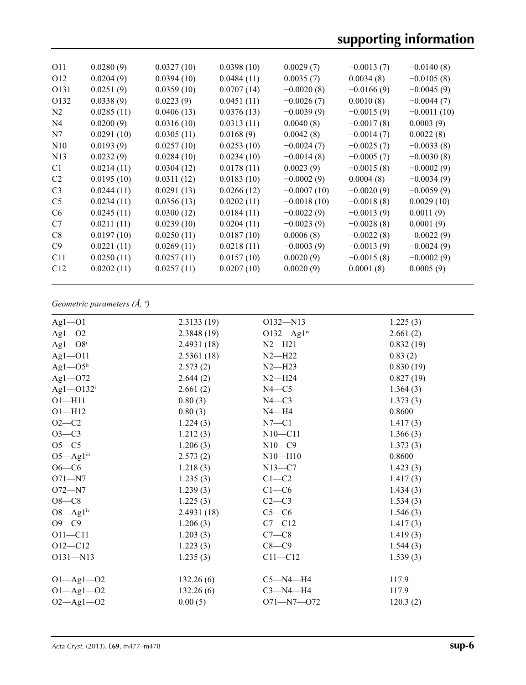# **supporting information**

| O11             | 0.0280(9)  | 0.0327(10) | 0.0398(10) | 0.0029(7)     | $-0.0013(7)$ | $-0.0140(8)$  |
|-----------------|------------|------------|------------|---------------|--------------|---------------|
| O <sub>12</sub> | 0.0204(9)  | 0.0394(10) | 0.0484(11) | 0.0035(7)     | 0.0034(8)    | $-0.0105(8)$  |
| O131            | 0.0251(9)  | 0.0359(10) | 0.0707(14) | $-0.0020(8)$  | $-0.0166(9)$ | $-0.0045(9)$  |
| O132            | 0.0338(9)  | 0.0223(9)  | 0.0451(11) | $-0.0026(7)$  | 0.0010(8)    | $-0.0044(7)$  |
| N <sub>2</sub>  | 0.0285(11) | 0.0406(13) | 0.0376(13) | $-0.0039(9)$  | $-0.0015(9)$ | $-0.0011(10)$ |
| N4              | 0.0200(9)  | 0.0316(10) | 0.0313(11) | 0.0040(8)     | $-0.0017(8)$ | 0.0003(9)     |
| N7              | 0.0291(10) | 0.0305(11) | 0.0168(9)  | 0.0042(8)     | $-0.0014(7)$ | 0.0022(8)     |
| N10             | 0.0193(9)  | 0.0257(10) | 0.0253(10) | $-0.0024(7)$  | $-0.0025(7)$ | $-0.0033(8)$  |
| N <sub>13</sub> | 0.0232(9)  | 0.0284(10) | 0.0234(10) | $-0.0014(8)$  | $-0.0005(7)$ | $-0.0030(8)$  |
| C1              | 0.0214(11) | 0.0304(12) | 0.0178(11) | 0.0023(9)     | $-0.0015(8)$ | $-0.0002(9)$  |
| C <sub>2</sub>  | 0.0195(10) | 0.0311(12) | 0.0183(10) | $-0.0002(9)$  | 0.0004(8)    | $-0.0034(9)$  |
| C <sub>3</sub>  | 0.0244(11) | 0.0291(13) | 0.0266(12) | $-0.0007(10)$ | $-0.0020(9)$ | $-0.0059(9)$  |
| C <sub>5</sub>  | 0.0234(11) | 0.0356(13) | 0.0202(11) | $-0.0018(10)$ | $-0.0018(8)$ | 0.0029(10)    |
| C <sub>6</sub>  | 0.0245(11) | 0.0300(12) | 0.0184(11) | $-0.0022(9)$  | $-0.0013(9)$ | 0.0011(9)     |
| C7              | 0.0211(11) | 0.0239(10) | 0.0204(11) | $-0.0023(9)$  | $-0.0028(8)$ | 0.0001(9)     |
| C8              | 0.0197(10) | 0.0250(11) | 0.0187(10) | 0.0006(8)     | $-0.0022(8)$ | $-0.0022(9)$  |
| C9              | 0.0221(11) | 0.0269(11) | 0.0218(11) | $-0.0003(9)$  | $-0.0013(9)$ | $-0.0024(9)$  |
| C11             | 0.0250(11) | 0.0257(11) | 0.0157(10) | 0.0020(9)     | $-0.0015(8)$ | $-0.0002(9)$  |
| C12             | 0.0202(11) | 0.0257(11) | 0.0207(10) | 0.0020(9)     | 0.0001(8)    | 0.0005(9)     |
|                 |            |            |            |               |              |               |

# *Geometric parameters (Å, º)*

| $Ag1 - O1$                | 2.3133(19) | $O132 - N13$                         | 1.225(3)  |
|---------------------------|------------|--------------------------------------|-----------|
| $Ag1 - O2$                | 2.3848(19) | O132- $\overline{Ag1}$ <sup>iv</sup> | 2.661(2)  |
| $Ag1 - O8$ <sup>i</sup>   | 2.4931(18) | $N2-H21$                             | 0.832(19) |
| $Ag1 - O11$               | 2.5361(18) | $N2 - H22$                           | 0.83(2)   |
| $Ag1 - O5$ <sup>ii</sup>  | 2.573(2)   | $N2-H23$                             | 0.830(19) |
| $Ag1 - O72$               | 2.644(2)   | $N2-H24$                             | 0.827(19) |
| Ag1- $O132^i$             | 2.661(2)   | $N4 - C5$                            | 1.364(3)  |
| $O1 - H11$                | 0.80(3)    | $N4-C3$                              | 1.373(3)  |
| $O1 - H12$                | 0.80(3)    | $N4 - H4$                            | 0.8600    |
| $O2 - C2$                 | 1.224(3)   | $N7 - C1$                            | 1.417(3)  |
| $O3-C3$                   | 1.212(3)   | $N10 - C11$                          | 1.366(3)  |
| $O5-C5$                   | 1.206(3)   | $N10-C9$                             | 1.373(3)  |
| $O5 - Ag1$ <sup>iii</sup> | 2.573(2)   | $N10-H10$                            | 0.8600    |
| $O6 - C6$                 | 1.218(3)   | $N13-C7$                             | 1.423(3)  |
| $O71 - N7$                | 1.235(3)   | $C1-C2$                              | 1.417(3)  |
| $O72 - N7$                | 1.239(3)   | $C1-C6$                              | 1.434(3)  |
| $O8-C8$                   | 1.225(3)   | $C2-C3$                              | 1.534(3)  |
| $O8 - Ag1iv$              | 2.4931(18) | $C5-C6$                              | 1.546(3)  |
| $O9-C9$                   | 1.206(3)   | $C7 - C12$                           | 1.417(3)  |
| $O11 - C11$               | 1.203(3)   | $C7-C8$                              | 1.419(3)  |
| $O12 - C12$               | 1.223(3)   | $C8-C9$                              | 1.544(3)  |
| $O131 - N13$              | 1.235(3)   | $C11 - C12$                          | 1.539(3)  |
|                           |            |                                      |           |
| $O1 - Ag1 - O2$           | 132.26(6)  | $C5 - N4 - H4$                       | 117.9     |
| $O1 - Ag1 - O2$           | 132.26(6)  | $C3-M4-H4$                           | 117.9     |
| $O2 - Ag1 - O2$           | 0.00(5)    | $O71 - N7 - O72$                     | 120.3(2)  |
|                           |            |                                      |           |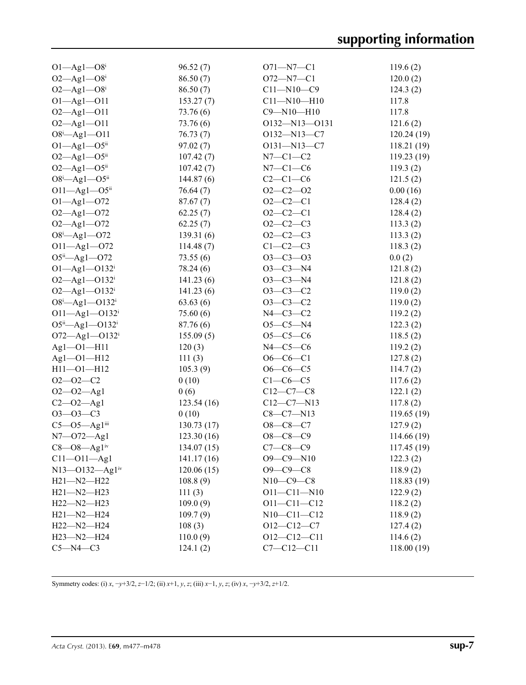| $O1 - Ag1 - O8i$                                | 96.52(7)   | $O71 - N7 - C1$   | 119.6(2)    |
|-------------------------------------------------|------------|-------------------|-------------|
| $O2 - Ag1 - O8$ <sup>i</sup>                    | 86.50(7)   | $O72 - N7 - C1$   | 120.0(2)    |
| $O2 - Ag1 - O8$ <sup>i</sup>                    | 86.50(7)   | $C11 - N10 - C9$  | 124.3(2)    |
| $O1 - Ag1 - O11$                                | 153.27(7)  | $C11 - N10 - H10$ | 117.8       |
| $O2 - Ag1 - O11$                                | 73.76 (6)  | $C9 - N10 - H10$  | 117.8       |
| $O2 - Ag1 - O11$                                | 73.76(6)   | 0132-N13-0131     | 121.6(2)    |
| $O8^i$ -Agl--O11                                | 76.73(7)   | O132-N13-C7       | 120.24(19)  |
| $O1 - Ag1 - O5$ <sup>ii</sup>                   | 97.02(7)   | $O131 - N13 - C7$ | 118.21(19)  |
| $O2 - Ag1 - O5$ ii                              | 107.42(7)  | $N7-C1-C2$        | 119.23(19)  |
| $O2 - Ag1 - O5$ <sup>ii</sup>                   | 107.42(7)  | $N7-C1-C6$        | 119.3(2)    |
| $O8^i$ -Ag1- $O5^{ii}$                          | 144.87(6)  | $C2-C1-C6$        | 121.5(2)    |
| $O11 - Ag1 - O5$ <sup>ii</sup>                  | 76.64(7)   | $O2 - C2 - O2$    | 0.00(16)    |
| $O1 - Ag1 - O72$                                | 87.67(7)   | $O2-C2-C1$        | 128.4(2)    |
| $O2 - Ag1 - O72$                                | 62.25(7)   | $O2-C2-C1$        | 128.4(2)    |
| $O2 - Ag1 - O72$                                | 62.25(7)   | $O2-C2-C3$        | 113.3(2)    |
| $O8^i$ -Ag1- $O72$                              | 139.31(6)  | $O2-C2-C3$        | 113.3(2)    |
| $O11 - Ag1 - O72$                               | 114.48(7)  | $C1-C2-C3$        | 118.3(2)    |
| $O5^{ii}$ $\rightarrow$ Ag1 $\rightarrow$ $O72$ | 73.55(6)   | $O3 - C3 - O3$    | 0.0(2)      |
| $O1 - Ag1 - O132$ <sup>i</sup>                  | 78.24 (6)  | $O3 - C3 - N4$    | 121.8(2)    |
| $O2 - Ag1 - O132$ <sup>i</sup>                  | 141.23(6)  | $O3 - C3 - N4$    | 121.8(2)    |
| $O2 - Ag1 - O132$ <sup>i</sup>                  | 141.23(6)  | $O3-C3-C2$        | 119.0(2)    |
| $O8^i$ -Ag1- $O132^i$                           | 63.63(6)   | $O3-C3-C2$        | 119.0(2)    |
| $O11 - Ag1 - O132$ <sup>i</sup>                 | 75.60(6)   | $N4-C3-C2$        | 119.2(2)    |
| $O5^{ii}$ —Ag1—O132 <sup>i</sup>                | 87.76 (6)  | $O5 - C5 - N4$    | 122.3(2)    |
| O72-Ag1-O132 <sup>i</sup>                       | 155.09(5)  | $O5-C5-C6$        | 118.5(2)    |
| $Ag1 - O1 - H11$                                | 120(3)     | $N4-C5-C6$        | 119.2(2)    |
| Ag1-01-H12                                      | 111(3)     | $O6 - CO - Cl$    | 127.8(2)    |
| $H11 - O1 - H12$                                | 105.3(9)   | $O6-C6-C5$        | 114.7(2)    |
| $O2 - O2 - C2$                                  | 0(10)      | $C1-C6-C5$        | 117.6(2)    |
| $O2 - O2 - Ag1$                                 | 0(6)       | $C12-C7-C8$       | 122.1(2)    |
| $C2 - 02 - Ag1$                                 | 123.54(16) | $C12-C7-N13$      | 117.8(2)    |
| $O3 - O3 - C3$                                  | 0(10)      | $C8 - C7 - N13$   | 119.65(19)  |
| $C5 - O5 - Ag1$ iii                             | 130.73(17) | $O8-C8-C7$        | 127.9(2)    |
| $N7 - 072 - Ag1$                                | 123.30(16) | $O8 - C8 - C9$    | 114.66 (19) |
| $C8 - O8 - Ag1iv$                               | 134.07(15) | $C7 - C8 - C9$    | 117.45(19)  |
| $C11 - O11 - Ag1$                               | 141.17(16) | $O9 - C9 - N10$   | 122.3(2)    |
| $N13 - 0132 - Ag1iv$                            | 120.06(15) | $O9 - C9 - C8$    | 118.9(2)    |
| $H21 - N2 - H22$                                | 108.8(9)   | $N10 - C9 - C8$   | 118.83 (19) |
| $H21 - N2 - H23$                                | 111(3)     | $O11 - C11 - N10$ | 122.9(2)    |
| $H22 - N2 - H23$                                | 109.0(9)   | $O11 - C11 - C12$ | 118.2(2)    |
| $H21 - N2 - H24$                                | 109.7(9)   | $N10-C11-C12$     | 118.9(2)    |
| H22-N2-H24                                      | 108(3)     | $O12-C12-C7$      | 127.4(2)    |
| $H23 - N2 - H24$                                | 110.0(9)   | $O12 - C12 - C11$ | 114.6(2)    |
| $C5 - N4 - C3$                                  | 124.1(2)   | $C7 - C12 - C11$  | 118.00(19)  |

Symmetry codes: (i) *x*, −*y*+3/2, *z*−1/2; (ii) *x*+1, *y*, *z*; (iii) *x*−1, *y*, *z*; (iv) *x*, −*y*+3/2, *z*+1/2.